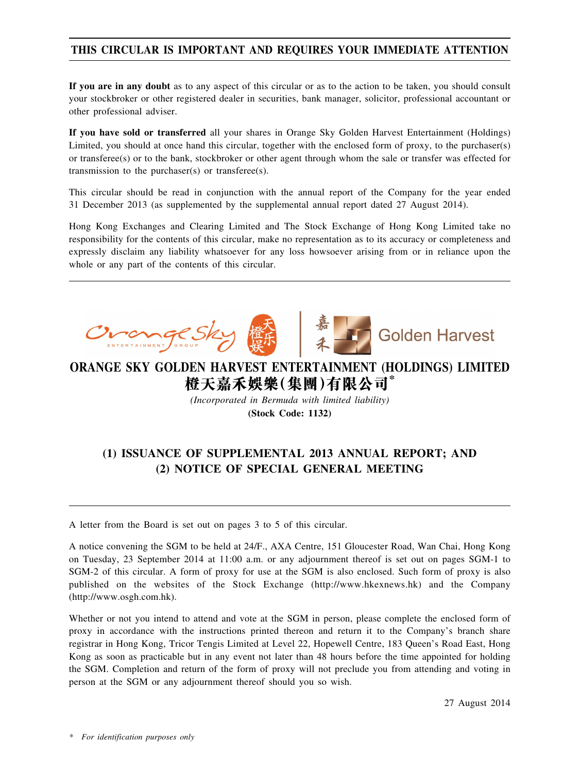## **THIS CIRCULAR IS IMPORTANT AND REQUIRES YOUR IMMEDIATE ATTENTION**

**If you are in any doubt** as to any aspect of this circular or as to the action to be taken, you should consult your stockbroker or other registered dealer in securities, bank manager, solicitor, professional accountant or other professional adviser.

**If you have sold or transferred** all your shares in Orange Sky Golden Harvest Entertainment (Holdings) Limited, you should at once hand this circular, together with the enclosed form of proxy, to the purchaser(s) or transferee(s) or to the bank, stockbroker or other agent through whom the sale or transfer was effected for transmission to the purchaser(s) or transferee(s).

This circular should be read in conjunction with the annual report of the Company for the year ended 31 December 2013 (as supplemented by the supplemental annual report dated 27 August 2014).

Hong Kong Exchanges and Clearing Limited and The Stock Exchange of Hong Kong Limited take no responsibility for the contents of this circular, make no representation as to its accuracy or completeness and expressly disclaim any liability whatsoever for any loss howsoever arising from or in reliance upon the whole or any part of the contents of this circular.

**COMPRESSE** 



**Golden Harvest** 

# **ORANGE SKY GOLDEN HARVEST ENTERTAINMENT (HOLDINGS) LIMITED 橙天嘉禾娛樂(集團)有限公司\***

*(Incorporated in Bermuda with limited liability)* **(Stock Code: 1132)**

# **(1) ISSUANCE OF SUPPLEMENTAL 2013 ANNUAL REPORT; AND (2) NOTICE OF SPECIAL GENERAL MEETING**

A letter from the Board is set out on pages 3 to 5 of this circular.

A notice convening the SGM to be held at 24/F., AXA Centre, 151 Gloucester Road, Wan Chai, Hong Kong on Tuesday, 23 September 2014 at 11:00 a.m. or any adjournment thereof is set out on pages SGM-1 to SGM-2 of this circular. A form of proxy for use at the SGM is also enclosed. Such form of proxy is also published on the websites of the Stock Exchange (http://www.hkexnews.hk) and the Company (http://www.osgh.com.hk).

Whether or not you intend to attend and vote at the SGM in person, please complete the enclosed form of proxy in accordance with the instructions printed thereon and return it to the Company's branch share registrar in Hong Kong, Tricor Tengis Limited at Level 22, Hopewell Centre, 183 Queen's Road East, Hong Kong as soon as practicable but in any event not later than 48 hours before the time appointed for holding the SGM. Completion and return of the form of proxy will not preclude you from attending and voting in person at the SGM or any adjournment thereof should you so wish.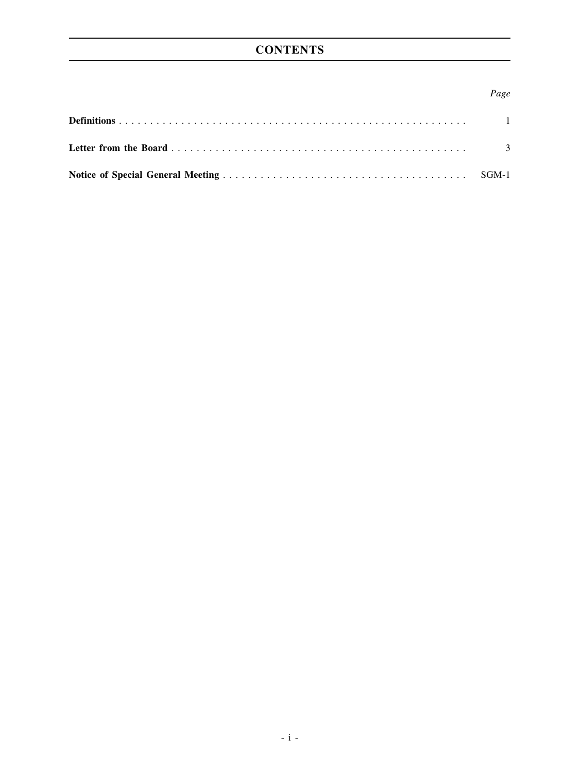# **CONTENTS**

### *Page*

| $\overline{\phantom{a}}$ |
|--------------------------|
|                          |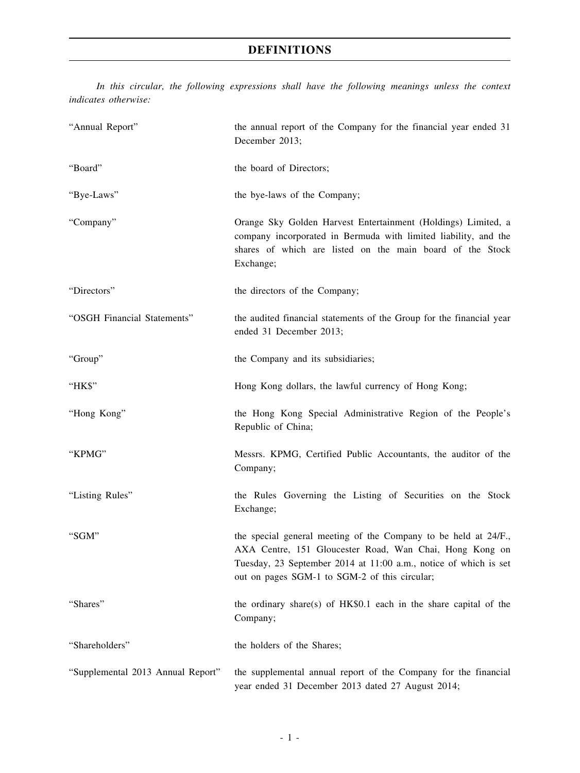## **DEFINITIONS**

*In this circular, the following expressions shall have the following meanings unless the context indicates otherwise:*

| "Annual Report"                   | the annual report of the Company for the financial year ended 31<br>December 2013;                                                                                                                                                              |
|-----------------------------------|-------------------------------------------------------------------------------------------------------------------------------------------------------------------------------------------------------------------------------------------------|
| "Board"                           | the board of Directors;                                                                                                                                                                                                                         |
| "Bye-Laws"                        | the bye-laws of the Company;                                                                                                                                                                                                                    |
| "Company"                         | Orange Sky Golden Harvest Entertainment (Holdings) Limited, a<br>company incorporated in Bermuda with limited liability, and the<br>shares of which are listed on the main board of the Stock<br>Exchange;                                      |
| "Directors"                       | the directors of the Company;                                                                                                                                                                                                                   |
| "OSGH Financial Statements"       | the audited financial statements of the Group for the financial year<br>ended 31 December 2013;                                                                                                                                                 |
| "Group"                           | the Company and its subsidiaries;                                                                                                                                                                                                               |
| "HK\$"                            | Hong Kong dollars, the lawful currency of Hong Kong;                                                                                                                                                                                            |
| "Hong Kong"                       | the Hong Kong Special Administrative Region of the People's<br>Republic of China;                                                                                                                                                               |
| "KPMG"                            | Messrs. KPMG, Certified Public Accountants, the auditor of the<br>Company;                                                                                                                                                                      |
| "Listing Rules"                   | the Rules Governing the Listing of Securities on the Stock<br>Exchange;                                                                                                                                                                         |
| "SGM"                             | the special general meeting of the Company to be held at 24/F.,<br>AXA Centre, 151 Gloucester Road, Wan Chai, Hong Kong on<br>Tuesday, 23 September 2014 at 11:00 a.m., notice of which is set<br>out on pages SGM-1 to SGM-2 of this circular; |
| "Shares"                          | the ordinary share(s) of HK\$0.1 each in the share capital of the<br>Company;                                                                                                                                                                   |
| "Shareholders"                    | the holders of the Shares;                                                                                                                                                                                                                      |
| "Supplemental 2013 Annual Report" | the supplemental annual report of the Company for the financial<br>year ended 31 December 2013 dated 27 August 2014;                                                                                                                            |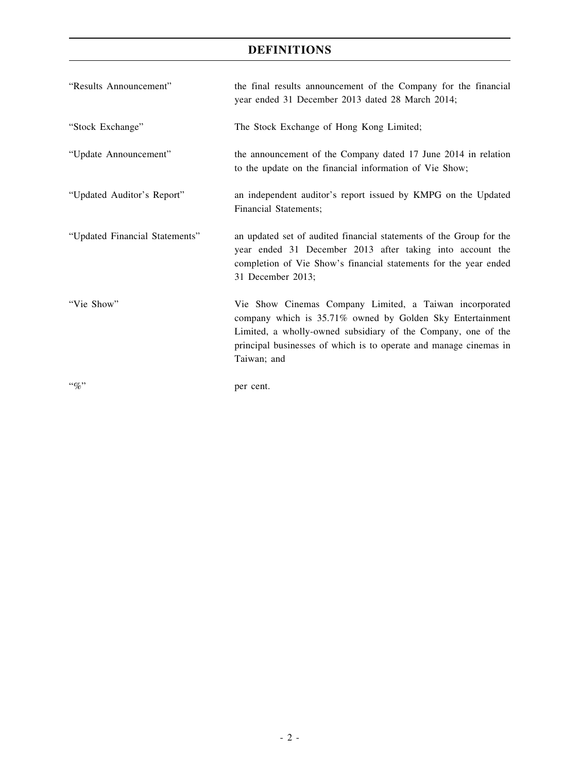## **DEFINITIONS**

| "Results Announcement"         | the final results announcement of the Company for the financial<br>year ended 31 December 2013 dated 28 March 2014;                                                                                                                                                       |
|--------------------------------|---------------------------------------------------------------------------------------------------------------------------------------------------------------------------------------------------------------------------------------------------------------------------|
| "Stock Exchange"               | The Stock Exchange of Hong Kong Limited;                                                                                                                                                                                                                                  |
| "Update Announcement"          | the announcement of the Company dated 17 June 2014 in relation<br>to the update on the financial information of Vie Show;                                                                                                                                                 |
| "Updated Auditor's Report"     | an independent auditor's report issued by KMPG on the Updated<br>Financial Statements;                                                                                                                                                                                    |
| "Updated Financial Statements" | an updated set of audited financial statements of the Group for the<br>year ended 31 December 2013 after taking into account the<br>completion of Vie Show's financial statements for the year ended<br>31 December 2013;                                                 |
| "Vie Show"                     | Vie Show Cinemas Company Limited, a Taiwan incorporated<br>company which is 35.71% owned by Golden Sky Entertainment<br>Limited, a wholly-owned subsidiary of the Company, one of the<br>principal businesses of which is to operate and manage cinemas in<br>Taiwan; and |
| $``q_0"$                       | per cent.                                                                                                                                                                                                                                                                 |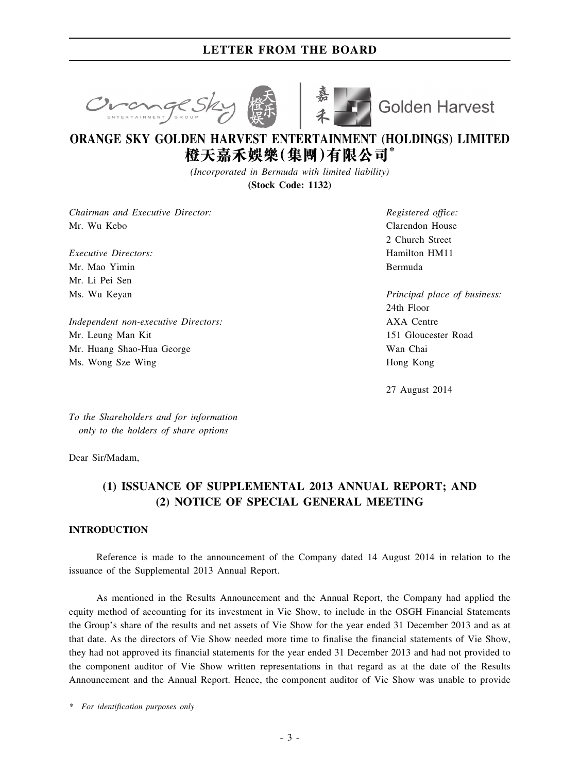## **LETTER FROM THE BOARD**





**Golden Harvest** 

# **ORANGE SKY GOLDEN HARVEST ENTERTAINMENT (HOLDINGS) LIMITED 橙天嘉禾娛樂(集團)有限公司\***

*(Incorporated in Bermuda with limited liability)*

**(Stock Code: 1132)**

*Chairman and Executive Director:* Mr. Wu Kebo

*Executive Directors:* Mr. Mao Yimin Mr. Li Pei Sen Ms. Wu Keyan

*Independent non-executive Directors:* Mr. Leung Man Kit Mr. Huang Shao-Hua George Ms. Wong Sze Wing

*Registered office:* Clarendon House 2 Church Street Hamilton HM11 Bermuda

*Principal place of business:* 24th Floor AXA Centre 151 Gloucester Road Wan Chai Hong Kong

27 August 2014

*To the Shareholders and for information only to the holders of share options*

Dear Sir/Madam,

## **(1) ISSUANCE OF SUPPLEMENTAL 2013 ANNUAL REPORT; AND (2) NOTICE OF SPECIAL GENERAL MEETING**

### **INTRODUCTION**

Reference is made to the announcement of the Company dated 14 August 2014 in relation to the issuance of the Supplemental 2013 Annual Report.

As mentioned in the Results Announcement and the Annual Report, the Company had applied the equity method of accounting for its investment in Vie Show, to include in the OSGH Financial Statements the Group's share of the results and net assets of Vie Show for the year ended 31 December 2013 and as at that date. As the directors of Vie Show needed more time to finalise the financial statements of Vie Show, they had not approved its financial statements for the year ended 31 December 2013 and had not provided to the component auditor of Vie Show written representations in that regard as at the date of the Results Announcement and the Annual Report. Hence, the component auditor of Vie Show was unable to provide

*\* For identification purposes only*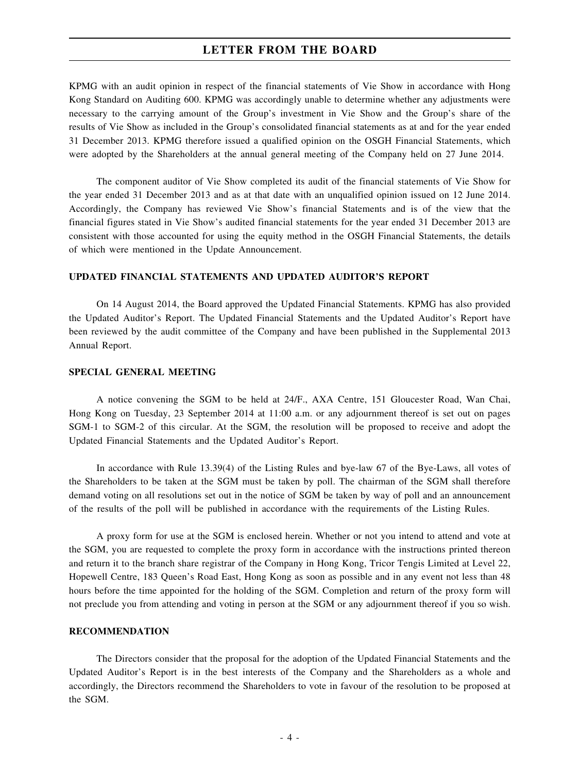### **LETTER FROM THE BOARD**

KPMG with an audit opinion in respect of the financial statements of Vie Show in accordance with Hong Kong Standard on Auditing 600. KPMG was accordingly unable to determine whether any adjustments were necessary to the carrying amount of the Group's investment in Vie Show and the Group's share of the results of Vie Show as included in the Group's consolidated financial statements as at and for the year ended 31 December 2013. KPMG therefore issued a qualified opinion on the OSGH Financial Statements, which were adopted by the Shareholders at the annual general meeting of the Company held on 27 June 2014.

The component auditor of Vie Show completed its audit of the financial statements of Vie Show for the year ended 31 December 2013 and as at that date with an unqualified opinion issued on 12 June 2014. Accordingly, the Company has reviewed Vie Show's financial Statements and is of the view that the financial figures stated in Vie Show's audited financial statements for the year ended 31 December 2013 are consistent with those accounted for using the equity method in the OSGH Financial Statements, the details of which were mentioned in the Update Announcement.

#### **UPDATED FINANCIAL STATEMENTS AND UPDATED AUDITOR'S REPORT**

On 14 August 2014, the Board approved the Updated Financial Statements. KPMG has also provided the Updated Auditor's Report. The Updated Financial Statements and the Updated Auditor's Report have been reviewed by the audit committee of the Company and have been published in the Supplemental 2013 Annual Report.

### **SPECIAL GENERAL MEETING**

A notice convening the SGM to be held at 24/F., AXA Centre, 151 Gloucester Road, Wan Chai, Hong Kong on Tuesday, 23 September 2014 at 11:00 a.m. or any adjournment thereof is set out on pages SGM-1 to SGM-2 of this circular. At the SGM, the resolution will be proposed to receive and adopt the Updated Financial Statements and the Updated Auditor's Report.

In accordance with Rule 13.39(4) of the Listing Rules and bye-law 67 of the Bye-Laws, all votes of the Shareholders to be taken at the SGM must be taken by poll. The chairman of the SGM shall therefore demand voting on all resolutions set out in the notice of SGM be taken by way of poll and an announcement of the results of the poll will be published in accordance with the requirements of the Listing Rules.

A proxy form for use at the SGM is enclosed herein. Whether or not you intend to attend and vote at the SGM, you are requested to complete the proxy form in accordance with the instructions printed thereon and return it to the branch share registrar of the Company in Hong Kong, Tricor Tengis Limited at Level 22, Hopewell Centre, 183 Queen's Road East, Hong Kong as soon as possible and in any event not less than 48 hours before the time appointed for the holding of the SGM. Completion and return of the proxy form will not preclude you from attending and voting in person at the SGM or any adjournment thereof if you so wish.

#### **RECOMMENDATION**

The Directors consider that the proposal for the adoption of the Updated Financial Statements and the Updated Auditor's Report is in the best interests of the Company and the Shareholders as a whole and accordingly, the Directors recommend the Shareholders to vote in favour of the resolution to be proposed at the SGM.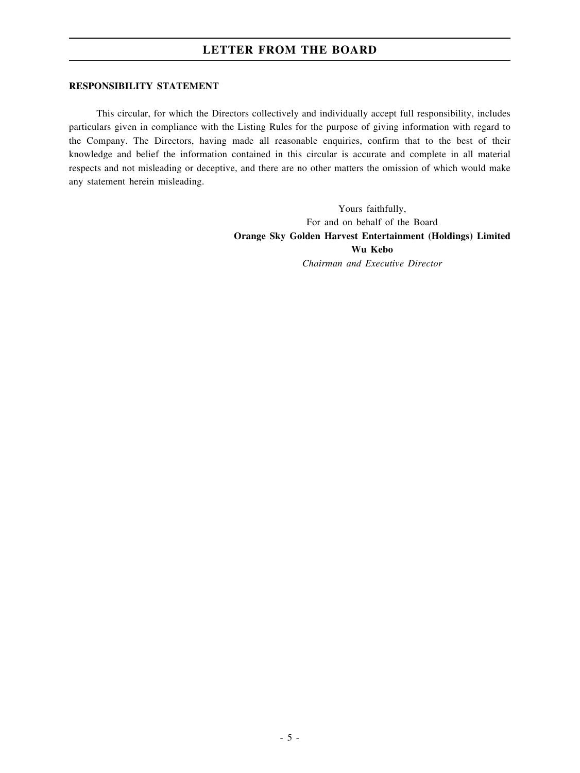## **LETTER FROM THE BOARD**

#### **RESPONSIBILITY STATEMENT**

This circular, for which the Directors collectively and individually accept full responsibility, includes particulars given in compliance with the Listing Rules for the purpose of giving information with regard to the Company. The Directors, having made all reasonable enquiries, confirm that to the best of their knowledge and belief the information contained in this circular is accurate and complete in all material respects and not misleading or deceptive, and there are no other matters the omission of which would make any statement herein misleading.

> Yours faithfully, For and on behalf of the Board **Orange Sky Golden Harvest Entertainment (Holdings) Limited Wu Kebo** *Chairman and Executive Director*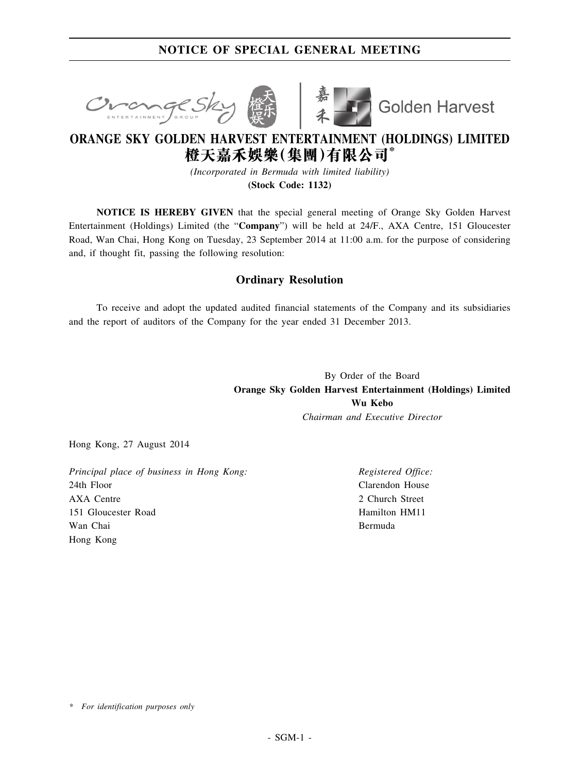## **NOTICE OF SPECIAL GENERAL MEETING**





Golden Harvest

# **ORANGE SKY GOLDEN HARVEST ENTERTAINMENT (HOLDINGS) LIMITED 橙天嘉禾娛樂(集團)有限公司\***

*(Incorporated in Bermuda with limited liability)*

**(Stock Code: 1132)**

**NOTICE IS HEREBY GIVEN** that the special general meeting of Orange Sky Golden Harvest Entertainment (Holdings) Limited (the "**Company**") will be held at 24/F., AXA Centre, 151 Gloucester Road, Wan Chai, Hong Kong on Tuesday, 23 September 2014 at 11:00 a.m. for the purpose of considering and, if thought fit, passing the following resolution:

### **Ordinary Resolution**

To receive and adopt the updated audited financial statements of the Company and its subsidiaries and the report of auditors of the Company for the year ended 31 December 2013.

> By Order of the Board **Orange Sky Golden Harvest Entertainment (Holdings) Limited Wu Kebo** *Chairman and Executive Director*

Hong Kong, 27 August 2014

*Principal place of business in Hong Kong:* 24th Floor AXA Centre 151 Gloucester Road Wan Chai Hong Kong

*Registered Office:* Clarendon House 2 Church Street Hamilton HM11 Bermuda

*\* For identification purposes only*